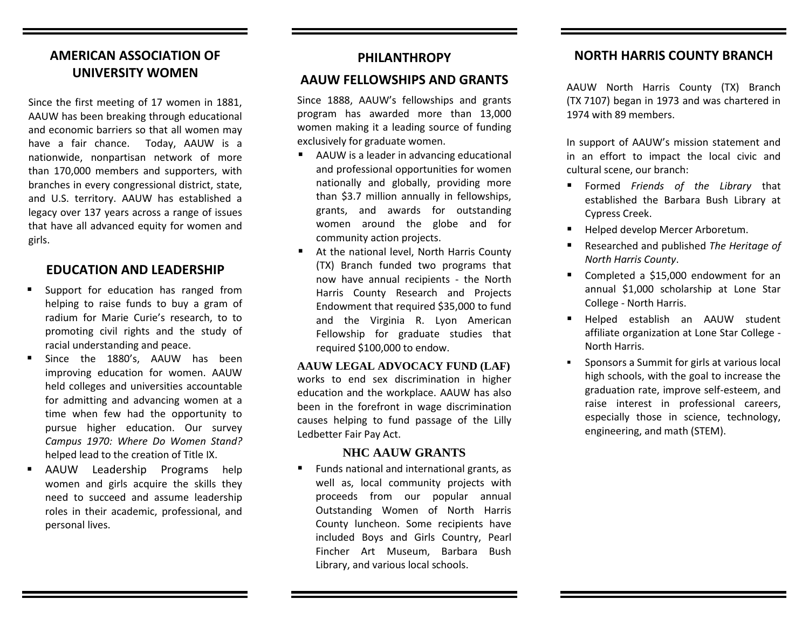# **AMERICAN ASSOCIATION OF UNIVERSITY WOMEN**

Since the first meeting of 17 women in 1881, AAUW has been breaking through educational and economic barriers so that all women may have a fair chance. Today, AAUW is a nationwide, nonpartisan network of more than 170,000 members and supporters, with branches in every congressional district, state, and U.S. territory. AAUW has established a legacy over 137 years across a range of issues that have all advanced equity for women and girls.

# **EDUCATION AND LEADERSHIP**

- **Support for education has ranged from** helping to raise funds to buy a gram of radium for Marie Curie's research, to to promoting civil rights and the study of racial understanding and peace.
- Since the 1880's, AAUW has been improving education for women. AAUW held colleges and universities accountable for admitting and advancing women at a time when few had the opportunity to pursue higher education. Our survey *Campus 1970: Where Do Women Stand?* helped lead to the creation of Title IX.
- AAUW Leadership Programs help women and girls acquire the skills they need to succeed and assume leadership roles in their academic, professional, and personal lives.

#### **PHILANTHROPY**

#### **AAUW FELLOWSHIPS AND GRANTS**

Since 1888, AAUW's fellowships and grants program has awarded more than 13,000 women making it a leading source of funding exclusively for graduate women.

- AAUW is a leader in advancing educational and professional opportunities for women nationally and globally, providing more than \$3.7 million annually in fellowships, grants, and awards for outstanding women around the globe and for community action projects.
- At the national level, North Harris County (TX) Branch funded two programs that now have annual recipients - the North Harris County Research and Projects Endowment that required \$35,000 to fund and the Virginia R. Lyon American Fellowship for graduate studies that required \$100,000 to endow.

**AAUW LEGAL ADVOCACY FUND (LAF)** works to end sex discrimination in higher education and the workplace. AAUW has also been in the forefront in wage discrimination causes helping to fund passage of the Lilly Ledbetter Fair Pay Act.

#### **NHC AAUW GRANTS**

 Funds national and international grants, as well as, local community projects with proceeds from our popular annual Outstanding Women of North Harris County luncheon. Some recipients have included Boys and Girls Country, Pearl Fincher Art Museum, Barbara Bush Library, and various local schools.

## **NORTH HARRIS COUNTY BRANCH**

AAUW North Harris County (TX) Branch (TX 7107) began in 1973 and was chartered in 1974 with 89 members.

In support of AAUW's mission statement and in an effort to impact the local civic and cultural scene, our branch:

- Formed *Friends of the Library* that established the Barbara Bush Library at Cypress Creek.
- Helped develop Mercer Arboretum.
- Researched and published *The Heritage of North Harris County*.
- Completed a \$15,000 endowment for an annual \$1,000 scholarship at Lone Star College - North Harris.
- Helped establish an AAUW student affiliate organization at Lone Star College - North Harris.
- **Sponsors a Summit for girls at various local** high schools, with the goal to increase the graduation rate, improve self-esteem, and raise interest in professional careers, especially those in science, technology, engineering, and math (STEM).